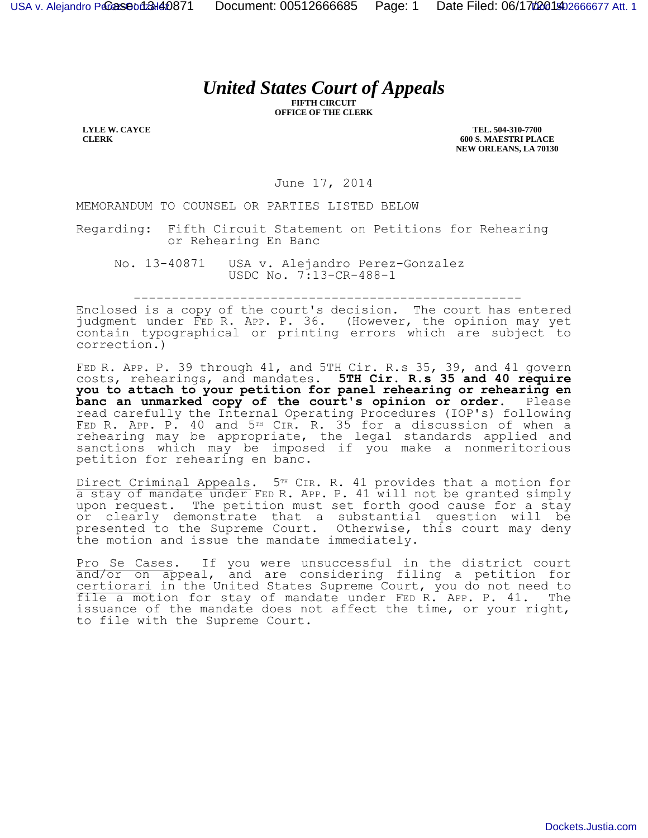## *United States Court of Appeals*

**FIFTH CIRCUIT OFFICE OF THE CLERK**

**LYLE W. CAYCE CLERK**

**TEL. 504-310-7700 600 S. MAESTRI PLACE NEW ORLEANS, LA 70130**

June 17, 2014

MEMORANDUM TO COUNSEL OR PARTIES LISTED BELOW

Regarding: Fifth Circuit Statement on Petitions for Rehearing or Rehearing En Banc

No. 13-40871 USA v. Alejandro Perez-Gonzalez USDC No. 7:13-CR-488-1

---------------------------------------------------

Enclosed is a copy of the court's decision. The court has entered judgment under FED R. APP. P. 36. (However, the opinion may yet contain typographical or printing errors which are subject to correction.)

FED R. APP. P. 39 through 41, and 5TH Cir. R.s 35, 39, and 41 govern costs, rehearings, and mandates. **5TH Cir. R.s 35 and 40 require you to attach to your petition for panel rehearing or rehearing en banc an unmarked copy of the court's opinion or order.** Please read carefully the Internal Operating Procedures (IOP's) following FED R. APP. P. 40 and 5<sup>TH</sup> CIR. R. 35 for a discussion of when a rehearing may be appropriate, the legal standards applied and sanctions which may be imposed if you make a nonmeritorious petition for rehearing en banc.

Direct Criminal Appeals. 5<sup>TH</sup> CIR. R. 41 provides that a motion for a stay of mandate under FED R. APP. P. 41 will not be granted simply upon request. The petition must set forth good cause for a stay or clearly demonstrate that a substantial question will be presented to the Supreme Court. Otherwise, this court may deny the motion and issue the mandate immediately.

Pro Se Cases. If you were unsuccessful in the district court and/or on appeal, and are considering filing a petition for certiorari in the United States Supreme Court, you do not need to file a motion for stay of mandate under FED R. APP. P. 41. The issuance of the mandate does not affect the time, or your right, to file with the Supreme Court.